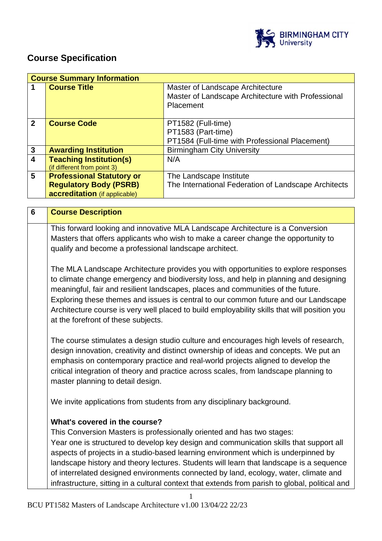

## **Course Specification**

| <b>Course Title</b>                                    | Master of Landscape Architecture                                                                                                                                                    |
|--------------------------------------------------------|-------------------------------------------------------------------------------------------------------------------------------------------------------------------------------------|
|                                                        | Master of Landscape Architecture with Professional                                                                                                                                  |
|                                                        | Placement                                                                                                                                                                           |
|                                                        |                                                                                                                                                                                     |
| <b>Course Code</b>                                     | PT1582 (Full-time)                                                                                                                                                                  |
|                                                        | PT1583 (Part-time)                                                                                                                                                                  |
|                                                        | PT1584 (Full-time with Professional Placement)                                                                                                                                      |
| <b>Awarding Institution</b>                            | <b>Birmingham City University</b>                                                                                                                                                   |
| <b>Teaching Institution(s)</b>                         | N/A                                                                                                                                                                                 |
|                                                        |                                                                                                                                                                                     |
|                                                        | The Landscape Institute                                                                                                                                                             |
|                                                        | The International Federation of Landscape Architects                                                                                                                                |
|                                                        |                                                                                                                                                                                     |
|                                                        |                                                                                                                                                                                     |
|                                                        |                                                                                                                                                                                     |
| <b>Course Description</b>                              |                                                                                                                                                                                     |
|                                                        |                                                                                                                                                                                     |
|                                                        | This forward looking and innovative MLA Landscape Architecture is a Conversion                                                                                                      |
|                                                        | Masters that offers applicants who wish to make a career change the opportunity to                                                                                                  |
| qualify and become a professional landscape architect. |                                                                                                                                                                                     |
|                                                        |                                                                                                                                                                                     |
|                                                        | The MLA Landscape Architecture provides you with opportunities to explore responses                                                                                                 |
|                                                        | to climate change emergency and biodiversity loss, and help in planning and designing                                                                                               |
|                                                        | meaningful, fair and resilient landscapes, places and communities of the future.                                                                                                    |
|                                                        |                                                                                                                                                                                     |
|                                                        | Exploring these themes and issues is central to our common future and our Landscape<br>Architecture course is very well placed to build employability skills that will position you |
|                                                        | (if different from point 3)<br><b>Professional Statutory or</b><br><b>Regulatory Body (PSRB)</b><br>accreditation (if applicable)                                                   |

The course stimulates a design studio culture and encourages high levels of research, design innovation, creativity and distinct ownership of ideas and concepts. We put an emphasis on contemporary practice and real-world projects aligned to develop the critical integration of theory and practice across scales, from landscape planning to master planning to detail design.

We invite applications from students from any disciplinary background.

#### **What's covered in the course?**

This Conversion Masters is professionally oriented and has two stages: Year one is structured to develop key design and communication skills that support all aspects of projects in a studio-based learning environment which is underpinned by landscape history and theory lectures. Students will learn that landscape is a sequence of interrelated designed environments connected by land, ecology, water, climate and infrastructure, sitting in a cultural context that extends from parish to global, political and

1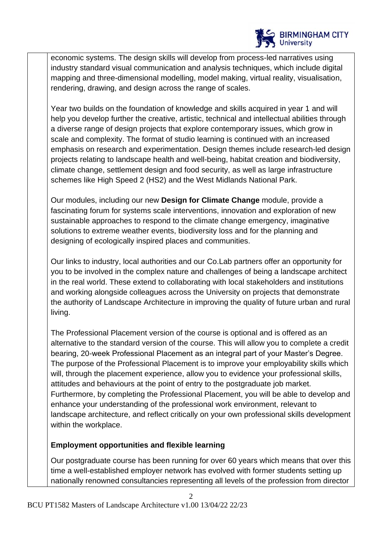

economic systems. The design skills will develop from process-led narratives using industry standard visual communication and analysis techniques, which include digital mapping and three-dimensional modelling, model making, virtual reality, visualisation, rendering, drawing, and design across the range of scales.

Year two builds on the foundation of knowledge and skills acquired in year 1 and will help you develop further the creative, artistic, technical and intellectual abilities through a diverse range of design projects that explore contemporary issues, which grow in scale and complexity. The format of studio learning is continued with an increased emphasis on research and experimentation. Design themes include research-led design projects relating to landscape health and well-being, habitat creation and biodiversity, climate change, settlement design and food security, as well as large infrastructure schemes like High Speed 2 (HS2) and the West Midlands National Park.

Our modules, including our new **Design for Climate Change** module, provide a fascinating forum for systems scale interventions, innovation and exploration of new sustainable approaches to respond to the climate change emergency, imaginative solutions to extreme weather events, biodiversity loss and for the planning and designing of ecologically inspired places and communities.

Our links to industry, local authorities and our Co.Lab partners offer an opportunity for you to be involved in the complex nature and challenges of being a landscape architect in the real world. These extend to collaborating with local stakeholders and institutions and working alongside colleagues across the University on projects that demonstrate the authority of Landscape Architecture in improving the quality of future urban and rural living.

The Professional Placement version of the course is optional and is offered as an alternative to the standard version of the course. This will allow you to complete a credit bearing, 20-week Professional Placement as an integral part of your Master's Degree. The purpose of the Professional Placement is to improve your employability skills which will, through the placement experience, allow you to evidence your professional skills, attitudes and behaviours at the point of entry to the postgraduate job market. Furthermore, by completing the Professional Placement, you will be able to develop and enhance your understanding of the professional work environment, relevant to landscape architecture, and reflect critically on your own professional skills development within the workplace.

## **Employment opportunities and flexible learning**

Our postgraduate course has been running for over 60 years which means that over this time a well-established employer network has evolved with former students setting up nationally renowned consultancies representing all levels of the profession from director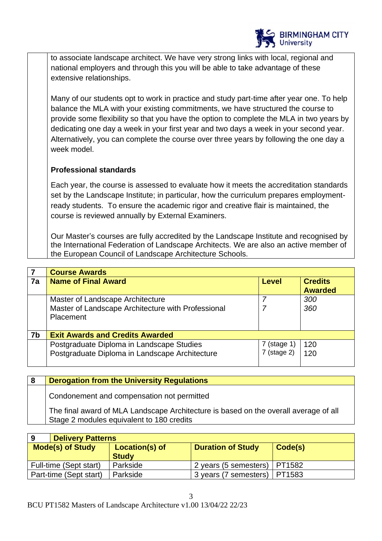

to associate landscape architect. We have very strong links with local, regional and national employers and through this you will be able to take advantage of these extensive relationships.

Many of our students opt to work in practice and study part-time after year one. To help balance the MLA with your existing commitments, we have structured the course to provide some flexibility so that you have the option to complete the MLA in two years by dedicating one day a week in your first year and two days a week in your second year. Alternatively, you can complete the course over three years by following the one day a week model.

## **Professional standards**

Each year, the course is assessed to evaluate how it meets the accreditation standards set by the Landscape Institute; in particular, how the curriculum prepares employmentready students. To ensure the academic rigor and creative flair is maintained, the course is reviewed annually by External Examiners.

Our Master's courses are fully accredited by the Landscape Institute and recognised by the International Federation of Landscape Architects. We are also an active member of the European Council of Landscape Architecture Schools.

|    | <b>Course Awards</b>                               |               |                |
|----|----------------------------------------------------|---------------|----------------|
| 7a | <b>Name of Final Award</b>                         | <b>Level</b>  | <b>Credits</b> |
|    |                                                    |               | <b>Awarded</b> |
|    | Master of Landscape Architecture                   |               | 300            |
|    | Master of Landscape Architecture with Professional |               | 360            |
|    | Placement                                          |               |                |
|    |                                                    |               |                |
| 7b | <b>Exit Awards and Credits Awarded</b>             |               |                |
|    | Postgraduate Diploma in Landscape Studies          | $7$ (stage 1) | 120            |
|    | Postgraduate Diploma in Landscape Architecture     | $7$ (stage 2) | 120            |
|    |                                                    |               |                |

**8 Derogation from the University Regulations**  Condonement and compensation not permitted The final award of MLA Landscape Architecture is based on the overall average of all Stage 2 modules equivalent to 180 credits

| 9 | <b>Delivery Patterns</b> |                |                                |         |
|---|--------------------------|----------------|--------------------------------|---------|
|   | <b>Mode(s) of Study</b>  | Location(s) of | <b>Duration of Study</b>       | Code(s) |
|   |                          | <b>Study</b>   |                                |         |
|   | Full-time (Sept start)   | Parkside       | 2 years (5 semesters)   PT1582 |         |
|   | Part-time (Sept start)   | Parkside       | 3 years (7 semesters)          | PT1583  |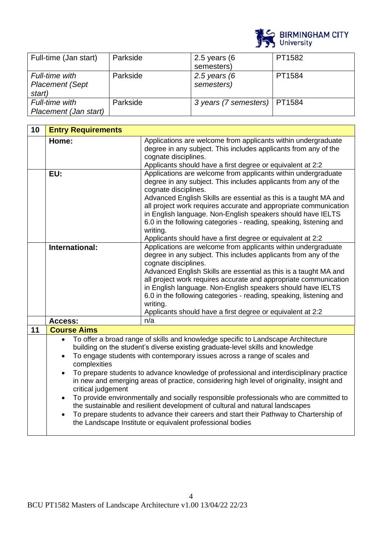

| Full-time (Jan start)  | Parkside | 2.5 years $(6)$                | PT1582 |
|------------------------|----------|--------------------------------|--------|
|                        |          | semesters)                     |        |
| Full-time with         | Parkside | 2.5 years $(6)$                | PT1584 |
| <b>Placement (Sept</b> |          | semesters)                     |        |
| start)                 |          |                                |        |
| Full-time with         | Parkside | 3 years (7 semesters)   PT1584 |        |
| Placement (Jan start)  |          |                                |        |

| 10             | <b>Entry Requirements</b>                                                                                                                                                                                                                                                                                                                                                                                                                                                                                                                                                                                                                                                                                                                                                                                                                                                       |                                                                                                                                                                                                                                                                                                                                                                                                                                                                                                                 |
|----------------|---------------------------------------------------------------------------------------------------------------------------------------------------------------------------------------------------------------------------------------------------------------------------------------------------------------------------------------------------------------------------------------------------------------------------------------------------------------------------------------------------------------------------------------------------------------------------------------------------------------------------------------------------------------------------------------------------------------------------------------------------------------------------------------------------------------------------------------------------------------------------------|-----------------------------------------------------------------------------------------------------------------------------------------------------------------------------------------------------------------------------------------------------------------------------------------------------------------------------------------------------------------------------------------------------------------------------------------------------------------------------------------------------------------|
|                | Home:                                                                                                                                                                                                                                                                                                                                                                                                                                                                                                                                                                                                                                                                                                                                                                                                                                                                           | Applications are welcome from applicants within undergraduate<br>degree in any subject. This includes applicants from any of the<br>cognate disciplines.<br>Applicants should have a first degree or equivalent at 2:2                                                                                                                                                                                                                                                                                          |
|                | EU:                                                                                                                                                                                                                                                                                                                                                                                                                                                                                                                                                                                                                                                                                                                                                                                                                                                                             | Applications are welcome from applicants within undergraduate<br>degree in any subject. This includes applicants from any of the<br>cognate disciplines.<br>Advanced English Skills are essential as this is a taught MA and<br>all project work requires accurate and appropriate communication<br>in English language. Non-English speakers should have IELTS<br>6.0 in the following categories - reading, speaking, listening and<br>writing.<br>Applicants should have a first degree or equivalent at 2:2 |
| International: |                                                                                                                                                                                                                                                                                                                                                                                                                                                                                                                                                                                                                                                                                                                                                                                                                                                                                 | Applications are welcome from applicants within undergraduate<br>degree in any subject. This includes applicants from any of the<br>cognate disciplines.<br>Advanced English Skills are essential as this is a taught MA and<br>all project work requires accurate and appropriate communication<br>in English language. Non-English speakers should have IELTS<br>6.0 in the following categories - reading, speaking, listening and<br>writing.<br>Applicants should have a first degree or equivalent at 2:2 |
|                | Access:                                                                                                                                                                                                                                                                                                                                                                                                                                                                                                                                                                                                                                                                                                                                                                                                                                                                         | n/a                                                                                                                                                                                                                                                                                                                                                                                                                                                                                                             |
| 11             | <b>Course Aims</b>                                                                                                                                                                                                                                                                                                                                                                                                                                                                                                                                                                                                                                                                                                                                                                                                                                                              |                                                                                                                                                                                                                                                                                                                                                                                                                                                                                                                 |
|                | To offer a broad range of skills and knowledge specific to Landscape Architecture<br>$\bullet$<br>building on the student's diverse existing graduate-level skills and knowledge<br>To engage students with contemporary issues across a range of scales and<br>$\bullet$<br>complexities<br>To prepare students to advance knowledge of professional and interdisciplinary practice<br>$\bullet$<br>in new and emerging areas of practice, considering high level of originality, insight and<br>critical judgement<br>To provide environmentally and socially responsible professionals who are committed to<br>$\bullet$<br>the sustainable and resilient development of cultural and natural landscapes<br>To prepare students to advance their careers and start their Pathway to Chartership of<br>$\bullet$<br>the Landscape Institute or equivalent professional bodies |                                                                                                                                                                                                                                                                                                                                                                                                                                                                                                                 |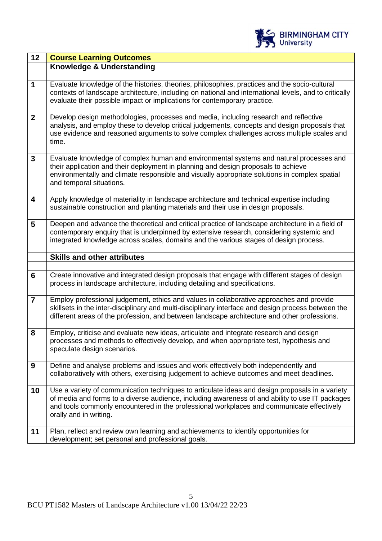

| 12                      | <b>Course Learning Outcomes</b>                                                                                                                                                                                                                                                                                           |
|-------------------------|---------------------------------------------------------------------------------------------------------------------------------------------------------------------------------------------------------------------------------------------------------------------------------------------------------------------------|
|                         | Knowledge & Understanding                                                                                                                                                                                                                                                                                                 |
| 1                       | Evaluate knowledge of the histories, theories, philosophies, practices and the socio-cultural<br>contexts of landscape architecture, including on national and international levels, and to critically<br>evaluate their possible impact or implications for contemporary practice.                                       |
| $\overline{2}$          | Develop design methodologies, processes and media, including research and reflective<br>analysis, and employ these to develop critical judgements, concepts and design proposals that<br>use evidence and reasoned arguments to solve complex challenges across multiple scales and<br>time.                              |
| $\mathbf{3}$            | Evaluate knowledge of complex human and environmental systems and natural processes and<br>their application and their deployment in planning and design proposals to achieve<br>environmentally and climate responsible and visually appropriate solutions in complex spatial<br>and temporal situations.                |
| $\overline{\mathbf{4}}$ | Apply knowledge of materiality in landscape architecture and technical expertise including<br>sustainable construction and planting materials and their use in design proposals.                                                                                                                                          |
| $5\phantom{1}$          | Deepen and advance the theoretical and critical practice of landscape architecture in a field of<br>contemporary enquiry that is underpinned by extensive research, considering systemic and<br>integrated knowledge across scales, domains and the various stages of design process.                                     |
|                         |                                                                                                                                                                                                                                                                                                                           |
|                         | <b>Skills and other attributes</b>                                                                                                                                                                                                                                                                                        |
|                         |                                                                                                                                                                                                                                                                                                                           |
| 6                       | Create innovative and integrated design proposals that engage with different stages of design<br>process in landscape architecture, including detailing and specifications.                                                                                                                                               |
| $\overline{7}$          | Employ professional judgement, ethics and values in collaborative approaches and provide<br>skillsets in the inter-disciplinary and multi-disciplinary interface and design process between the<br>different areas of the profession, and between landscape architecture and other professions.                           |
| 8                       | Employ, criticise and evaluate new ideas, articulate and integrate research and design<br>processes and methods to effectively develop, and when appropriate test, hypothesis and<br>speculate design scenarios.                                                                                                          |
| 9                       | Define and analyse problems and issues and work effectively both independently and<br>collaboratively with others, exercising judgement to achieve outcomes and meet deadlines.                                                                                                                                           |
| 10                      | Use a variety of communication techniques to articulate ideas and design proposals in a variety<br>of media and forms to a diverse audience, including awareness of and ability to use IT packages<br>and tools commonly encountered in the professional workplaces and communicate effectively<br>orally and in writing. |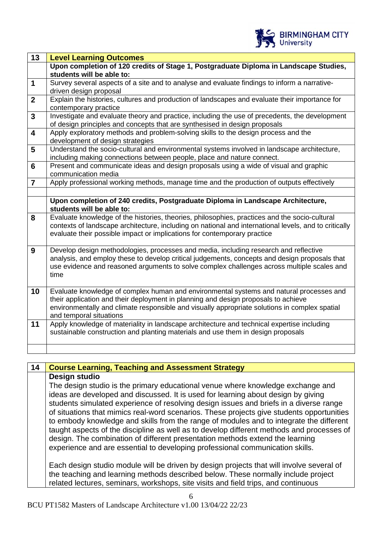

| 13                      | <b>Level Learning Outcomes</b>                                                                                                                                                                                                                                                                            |
|-------------------------|-----------------------------------------------------------------------------------------------------------------------------------------------------------------------------------------------------------------------------------------------------------------------------------------------------------|
|                         | Upon completion of 120 credits of Stage 1, Postgraduate Diploma in Landscape Studies,<br>students will be able to:                                                                                                                                                                                        |
| $\mathbf 1$             | Survey several aspects of a site and to analyse and evaluate findings to inform a narrative-<br>driven design proposal                                                                                                                                                                                    |
| $\overline{2}$          | Explain the histories, cultures and production of landscapes and evaluate their importance for<br>contemporary practice                                                                                                                                                                                   |
| $\mathbf{3}$            | Investigate and evaluate theory and practice, including the use of precedents, the development<br>of design principles and concepts that are synthesised in design proposals                                                                                                                              |
| $\overline{\mathbf{4}}$ | Apply exploratory methods and problem-solving skills to the design process and the<br>development of design strategies                                                                                                                                                                                    |
| 5                       | Understand the socio-cultural and environmental systems involved in landscape architecture,<br>including making connections between people, place and nature connect.                                                                                                                                     |
| $6\phantom{1}$          | Present and communicate ideas and design proposals using a wide of visual and graphic<br>communication media                                                                                                                                                                                              |
| $\overline{\mathbf{7}}$ | Apply professional working methods, manage time and the production of outputs effectively                                                                                                                                                                                                                 |
|                         |                                                                                                                                                                                                                                                                                                           |
|                         | Upon completion of 240 credits, Postgraduate Diploma in Landscape Architecture,<br>students will be able to:                                                                                                                                                                                              |
| 8                       | Evaluate knowledge of the histories, theories, philosophies, practices and the socio-cultural<br>contexts of landscape architecture, including on national and international levels, and to critically<br>evaluate their possible impact or implications for contemporary practice                        |
| 9                       | Develop design methodologies, processes and media, including research and reflective<br>analysis, and employ these to develop critical judgements, concepts and design proposals that<br>use evidence and reasoned arguments to solve complex challenges across multiple scales and<br>time               |
| 10                      | Evaluate knowledge of complex human and environmental systems and natural processes and<br>their application and their deployment in planning and design proposals to achieve<br>environmentally and climate responsible and visually appropriate solutions in complex spatial<br>and temporal situations |
| 11                      | Apply knowledge of materiality in landscape architecture and technical expertise including<br>sustainable construction and planting materials and use them in design proposals                                                                                                                            |
|                         |                                                                                                                                                                                                                                                                                                           |

**14 Course Learning, Teaching and Assessment Strategy Design studio** The design studio is the primary educational venue where knowledge exchange and ideas are developed and discussed. It is used for learning about design by giving students simulated experience of resolving design issues and briefs in a diverse range of situations that mimics real-word scenarios. These projects give students opportunities to embody knowledge and skills from the range of modules and to integrate the different taught aspects of the discipline as well as to develop different methods and processes of design. The combination of different presentation methods extend the learning experience and are essential to developing professional communication skills. Each design studio module will be driven by design projects that will involve several of the teaching and learning methods described below. These normally include project related lectures, seminars, workshops, site visits and field trips, and continuous

6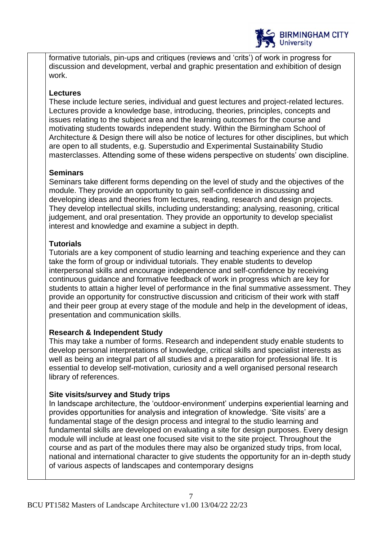

formative tutorials, pin-ups and critiques (reviews and 'crits') of work in progress for discussion and development, verbal and graphic presentation and exhibition of design work.

### **Lectures**

These include lecture series, individual and guest lectures and project-related lectures. Lectures provide a knowledge base, introducing, theories, principles, concepts and issues relating to the subject area and the learning outcomes for the course and motivating students towards independent study. Within the Birmingham School of Architecture & Design there will also be notice of lectures for other disciplines, but which are open to all students, e.g. Superstudio and Experimental Sustainability Studio masterclasses. Attending some of these widens perspective on students' own discipline.

## **Seminars**

Seminars take different forms depending on the level of study and the objectives of the module. They provide an opportunity to gain self-confidence in discussing and developing ideas and theories from lectures, reading, research and design projects. They develop intellectual skills, including understanding; analysing, reasoning, critical judgement, and oral presentation. They provide an opportunity to develop specialist interest and knowledge and examine a subject in depth.

## **Tutorials**

Tutorials are a key component of studio learning and teaching experience and they can take the form of group or individual tutorials. They enable students to develop interpersonal skills and encourage independence and self-confidence by receiving continuous guidance and formative feedback of work in progress which are key for students to attain a higher level of performance in the final summative assessment. They provide an opportunity for constructive discussion and criticism of their work with staff and their peer group at every stage of the module and help in the development of ideas, presentation and communication skills.

## **Research & Independent Study**

This may take a number of forms. Research and independent study enable students to develop personal interpretations of knowledge, critical skills and specialist interests as well as being an integral part of all studies and a preparation for professional life. It is essential to develop self-motivation, curiosity and a well organised personal research library of references.

## **Site visits/survey and Study trips**

In landscape architecture, the 'outdoor-environment' underpins experiential learning and provides opportunities for analysis and integration of knowledge. 'Site visits' are a fundamental stage of the design process and integral to the studio learning and fundamental skills are developed on evaluating a site for design purposes. Every design module will include at least one focused site visit to the site project. Throughout the course and as part of the modules there may also be organized study trips, from local, national and international character to give students the opportunity for an in-depth study of various aspects of landscapes and contemporary designs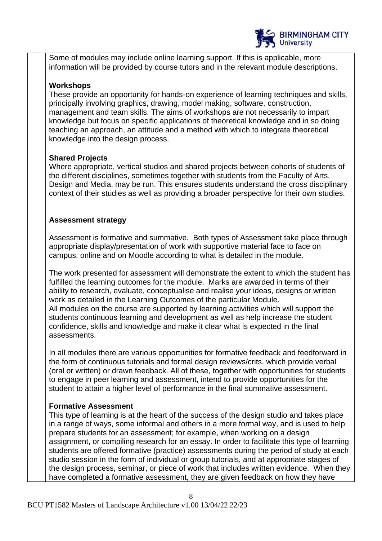

Some of modules may include online learning support. If this is applicable, more information will be provided by course tutors and in the relevant module descriptions.

### **Workshops**

These provide an opportunity for hands-on experience of learning techniques and skills, principally involving graphics, drawing, model making, software, construction, management and team skills. The aims of workshops are not necessarily to impart knowledge but focus on specific applications of theoretical knowledge and in so doing teaching an approach, an attitude and a method with which to integrate theoretical knowledge into the design process.

## **Shared Projects**

Where appropriate, vertical studios and shared projects between cohorts of students of the different disciplines, sometimes together with students from the Faculty of Arts, Design and Media, may be run. This ensures students understand the cross disciplinary context of their studies as well as providing a broader perspective for their own studies.

## **Assessment strategy**

Assessment is formative and summative. Both types of Assessment take place through appropriate display/presentation of work with supportive material face to face on campus, online and on Moodle according to what is detailed in the module.

The work presented for assessment will demonstrate the extent to which the student has fulfilled the learning outcomes for the module. Marks are awarded in terms of their ability to research, evaluate, conceptualise and realise your ideas, designs or written work as detailed in the Learning Outcomes of the particular Module. All modules on the course are supported by learning activities which will support the students continuous learning and development as well as help increase the student confidence, skills and knowledge and make it clear what is expected in the final assessments.

In all modules there are various opportunities for formative feedback and feedforward in the form of continuous tutorials and formal design reviews/crits, which provide verbal (oral or written) or drawn feedback. All of these, together with opportunities for students to engage in peer learning and assessment, intend to provide opportunities for the student to attain a higher level of performance in the final summative assessment.

## **Formative Assessment**

This type of learning is at the heart of the success of the design studio and takes place in a range of ways, some informal and others in a more formal way, and is used to help prepare students for an assessment; for example, when working on a design assignment, or compiling research for an essay. In order to facilitate this type of learning students are offered formative (practice) assessments during the period of study at each studio session in the form of individual or group tutorials, and at appropriate stages of the design process, seminar, or piece of work that includes written evidence. When they have completed a formative assessment, they are given feedback on how they have

8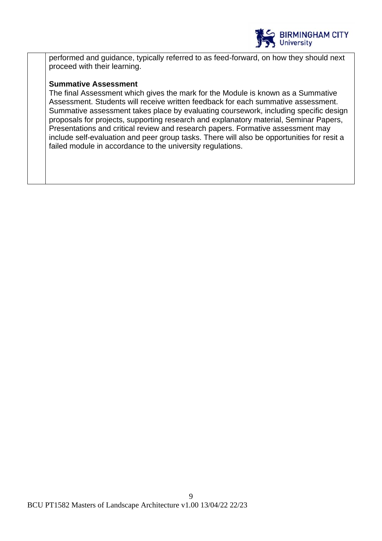

performed and guidance, typically referred to as feed-forward, on how they should next proceed with their learning.

#### **Summative Assessment**

The final Assessment which gives the mark for the Module is known as a Summative Assessment. Students will receive written feedback for each summative assessment. Summative assessment takes place by evaluating coursework, including specific design proposals for projects, supporting research and explanatory material, Seminar Papers, Presentations and critical review and research papers. Formative assessment may include self-evaluation and peer group tasks. There will also be opportunities for resit a failed module in accordance to the university regulations.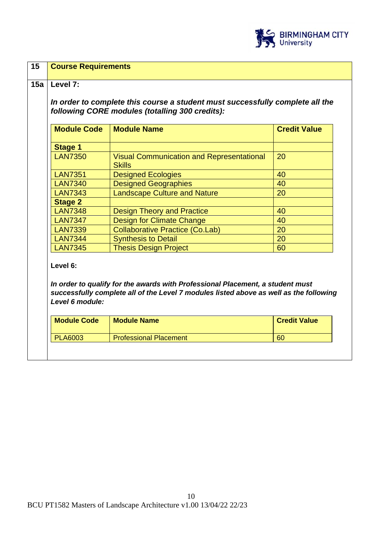

| <b>Module Code</b>          | <b>Module Name</b>                                                                                                                                                       | <b>Credit Value</b> |
|-----------------------------|--------------------------------------------------------------------------------------------------------------------------------------------------------------------------|---------------------|
| <b>Stage 1</b>              |                                                                                                                                                                          |                     |
| <b>LAN7350</b>              | <b>Visual Communication and Representational</b><br><b>Skills</b>                                                                                                        | 20                  |
| <b>LAN7351</b>              | <b>Designed Ecologies</b>                                                                                                                                                | 40                  |
| <b>LAN7340</b>              | <b>Designed Geographies</b>                                                                                                                                              | 40                  |
| <b>LAN7343</b>              | <b>Landscape Culture and Nature</b>                                                                                                                                      | 20                  |
| <b>Stage 2</b>              |                                                                                                                                                                          |                     |
| <b>LAN7348</b>              | <b>Design Theory and Practice</b>                                                                                                                                        | 40                  |
| <b>LAN7347</b>              | <b>Design for Climate Change</b>                                                                                                                                         | 40                  |
| <b>LAN7339</b>              | <b>Collaborative Practice (Co.Lab)</b>                                                                                                                                   | 20                  |
| <b>LAN7344</b>              | <b>Synthesis to Detail</b>                                                                                                                                               | 20                  |
| <b>LAN7345</b>              | <b>Thesis Design Project</b>                                                                                                                                             | 60                  |
| Level 6:<br>Level 6 module: | In order to qualify for the awards with Professional Placement, a student must<br>successfully complete all of the Level 7 modules listed above as well as the following |                     |
|                             | <b>Module Name</b>                                                                                                                                                       | <b>Credit Value</b> |
| <b>Module Code</b>          |                                                                                                                                                                          |                     |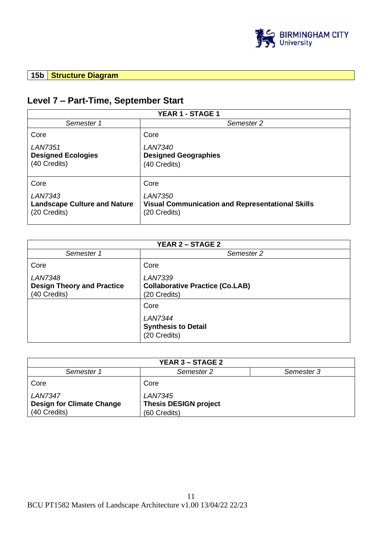

## **15b Structure Diagram**

# **Level 7 – Part-Time, September Start**

| YEAR 1 - STAGE 1                                                      |                                                                                           |  |
|-----------------------------------------------------------------------|-------------------------------------------------------------------------------------------|--|
| Semester 1                                                            | Semester 2                                                                                |  |
| Core                                                                  | Core                                                                                      |  |
| <b>LAN7351</b><br><b>Designed Ecologies</b><br>(40 Credits)           | <b>LAN7340</b><br><b>Designed Geographies</b><br>(40 Credits)                             |  |
| Core                                                                  | Core                                                                                      |  |
| <b>LAN7343</b><br><b>Landscape Culture and Nature</b><br>(20 Credits) | <b>LAN7350</b><br><b>Visual Communication and Representational Skills</b><br>(20 Credits) |  |

| <b>YEAR 2 - STAGE 2</b>                                             |                                                                          |  |
|---------------------------------------------------------------------|--------------------------------------------------------------------------|--|
| Semester 1                                                          | Semester 2                                                               |  |
| Core                                                                | Core                                                                     |  |
| <b>LAN7348</b><br><b>Design Theory and Practice</b><br>(40 Credits) | <b>LAN7339</b><br><b>Collaborative Practice (Co.LAB)</b><br>(20 Credits) |  |
|                                                                     | Core                                                                     |  |
|                                                                     | <b>LAN7344</b><br><b>Synthesis to Detail</b><br>(20 Credits)             |  |

| <b>YEAR 3 – STAGE 2</b>          |                              |            |  |
|----------------------------------|------------------------------|------------|--|
| Semester 1                       | Semester 2                   | Semester 3 |  |
| Core                             | Core                         |            |  |
| <b>LAN7347</b>                   | <b>LAN7345</b>               |            |  |
| <b>Design for Climate Change</b> | <b>Thesis DESIGN project</b> |            |  |
| (40 Credits)                     | (60 Credits)                 |            |  |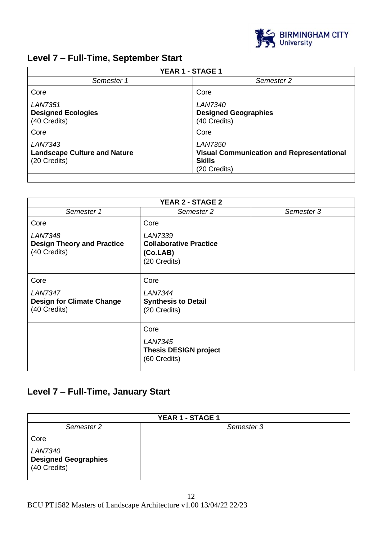

# **Level 7 – Full-Time, September Start**

| YEAR 1 - STAGE 1                                                      |                                                                                                     |  |
|-----------------------------------------------------------------------|-----------------------------------------------------------------------------------------------------|--|
| Semester 1                                                            | Semester 2                                                                                          |  |
| Core                                                                  | Core                                                                                                |  |
| <b>LAN7351</b><br><b>Designed Ecologies</b><br>(40 Credits)           | <b>LAN7340</b><br><b>Designed Geographies</b><br>(40 Credits)                                       |  |
| Core                                                                  | Core                                                                                                |  |
| <b>LAN7343</b><br><b>Landscape Culture and Nature</b><br>(20 Credits) | <b>LAN7350</b><br><b>Visual Communication and Representational</b><br><b>Skills</b><br>(20 Credits) |  |

| <b>YEAR 2 - STAGE 2</b>                                             |                                                                             |            |
|---------------------------------------------------------------------|-----------------------------------------------------------------------------|------------|
| Semester 1                                                          | Semester 2                                                                  | Semester 3 |
| Core                                                                | Core                                                                        |            |
| <b>LAN7348</b><br><b>Design Theory and Practice</b><br>(40 Credits) | <b>LAN7339</b><br><b>Collaborative Practice</b><br>(Co.LAB)<br>(20 Credits) |            |
| Core                                                                | Core                                                                        |            |
| <b>LAN7347</b><br><b>Design for Climate Change</b><br>(40 Credits)  | <b>LAN7344</b><br><b>Synthesis to Detail</b><br>(20 Credits)                |            |
|                                                                     | Core                                                                        |            |
|                                                                     | <b>LAN7345</b><br><b>Thesis DESIGN project</b><br>(60 Credits)              |            |

# **Level 7 – Full-Time, January Start**

| <b>YEAR 1 - STAGE 1</b>                                       |            |  |
|---------------------------------------------------------------|------------|--|
| Semester 2                                                    | Semester 3 |  |
| Core                                                          |            |  |
| <b>LAN7340</b><br><b>Designed Geographies</b><br>(40 Credits) |            |  |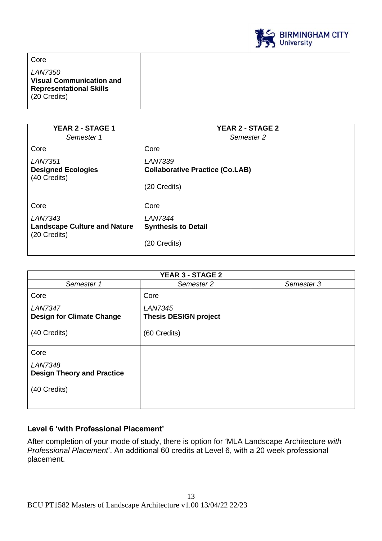

Core *LAN7350* **Visual Communication and Representational Skills** (20 Credits)

| <b>YEAR 2 - STAGE 1</b>                                        | <b>YEAR 2 - STAGE 2</b>                                                  |
|----------------------------------------------------------------|--------------------------------------------------------------------------|
| Semester 1                                                     | Semester 2                                                               |
| Core                                                           | Core                                                                     |
| <b>LAN7351</b><br><b>Designed Ecologies</b><br>(40 Credits)    | <b>LAN7339</b><br><b>Collaborative Practice (Co.LAB)</b><br>(20 Credits) |
| Core                                                           | Core                                                                     |
| LAN7343<br><b>Landscape Culture and Nature</b><br>(20 Credits) | <b>LAN7344</b><br><b>Synthesis to Detail</b><br>(20 Credits)             |

| <b>YEAR 3 - STAGE 2</b>                             |                                                |            |
|-----------------------------------------------------|------------------------------------------------|------------|
| Semester 1                                          | Semester 2                                     | Semester 3 |
| Core                                                | Core                                           |            |
| <b>LAN7347</b><br><b>Design for Climate Change</b>  | <b>LAN7345</b><br><b>Thesis DESIGN project</b> |            |
| (40 Credits)                                        | (60 Credits)                                   |            |
| Core                                                |                                                |            |
| <b>LAN7348</b><br><b>Design Theory and Practice</b> |                                                |            |
| (40 Credits)                                        |                                                |            |

## **Level 6 'with Professional Placement'**

After completion of your mode of study, there is option for 'MLA Landscape Architecture *with Professional Placement*'. An additional 60 credits at Level 6, with a 20 week professional placement.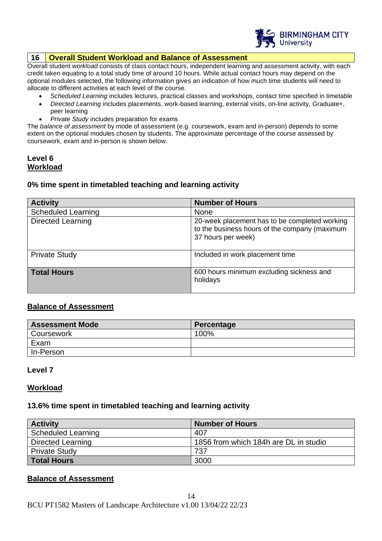

#### **16 Overall Student Workload and Balance of Assessment**

Overall student *workload* consists of class contact hours, independent learning and assessment activity, with each credit taken equating to a total study time of around 10 hours. While actual contact hours may depend on the optional modules selected, the following information gives an indication of how much time students will need to allocate to different activities at each level of the course.

- *Scheduled Learning* includes lectures, practical classes and workshops, contact time specified in timetable
- *Directed Learning* includes placements, work-based learning, external visits, on-line activity, Graduate+, peer learning
- *Private Study* includes preparation for exams

The *balance of assessment* by mode of assessment (e.g. coursework, exam and in-person) depends to some extent on the optional modules chosen by students. The approximate percentage of the course assessed by coursework, exam and in-person is shown below.

#### **Level 6 Workload**

#### **0% time spent in timetabled teaching and learning activity**

| <b>Activity</b>           | <b>Number of Hours</b>                                                                                               |
|---------------------------|----------------------------------------------------------------------------------------------------------------------|
| <b>Scheduled Learning</b> | <b>None</b>                                                                                                          |
| <b>Directed Learning</b>  | 20-week placement has to be completed working<br>to the business hours of the company (maximum<br>37 hours per week) |
| <b>Private Study</b>      | Included in work placement time                                                                                      |
| <b>Total Hours</b>        | 600 hours minimum excluding sickness and<br>holidays                                                                 |

#### **Balance of Assessment**

| <b>Assessment Mode</b> | Percentage |
|------------------------|------------|
| <b>Coursework</b>      | 100%       |
| Exam                   |            |
| In-Person              |            |

#### **Level 7**

#### **Workload**

#### **13.6% time spent in timetabled teaching and learning activity**

| <b>Activity</b>           | <b>Number of Hours</b>                |
|---------------------------|---------------------------------------|
| <b>Scheduled Learning</b> | 407                                   |
| <b>Directed Learning</b>  | 1856 from which 184h are DL in studio |
| <b>Private Study</b>      | 737                                   |
| <b>Total Hours</b>        | 3000                                  |

#### **Balance of Assessment**